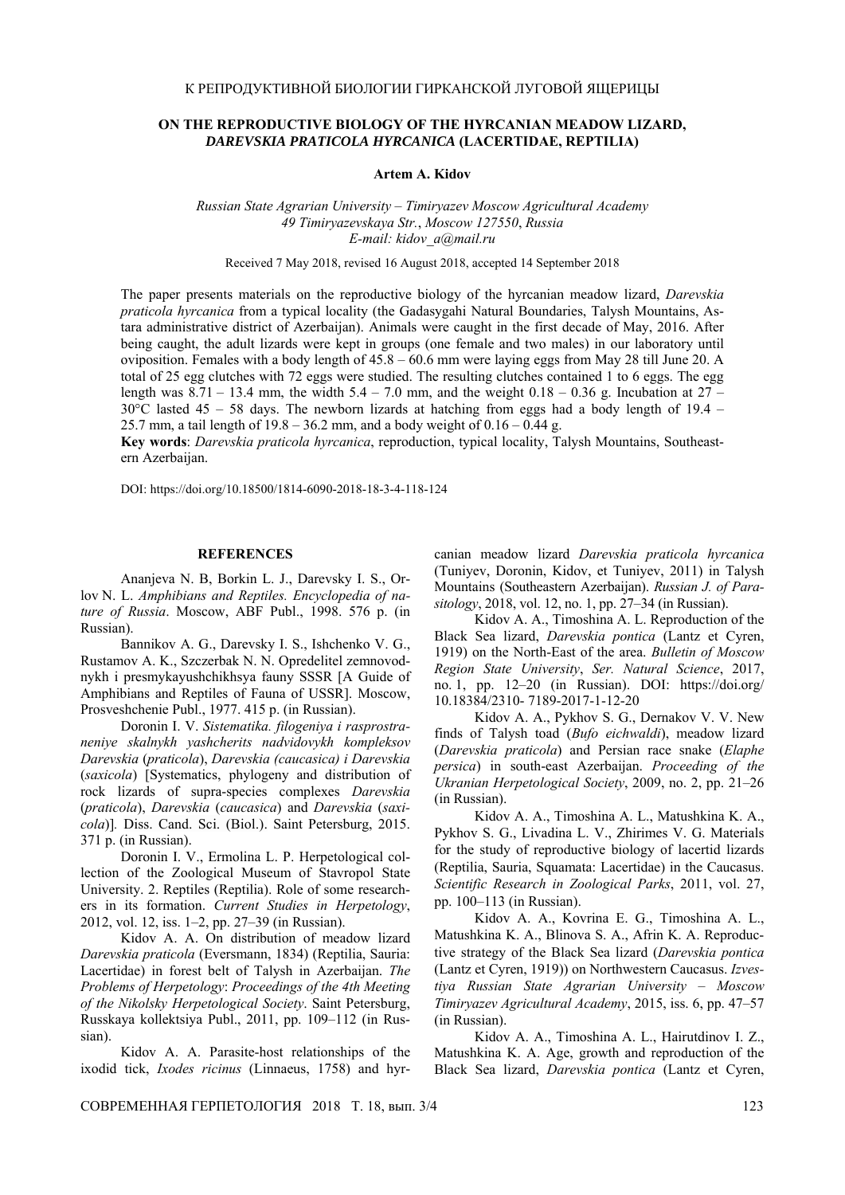## **ON THE REPRODUCTIVE BIOLOGY OF THE HYRCANIAN MEADOW LIZARD,**  *DAREVSKIA PRATICOLA HYRCANICA* **(LACERTIDAE, REPTILIA)**

## **Artem A. Kidov**

*Russian State Agrarian University* – *Timiryazev Moscow Agricultural Academy 49 Timiryazevskaya Str.*, *Moscow 127550*, *Russia E-mail: kidov\_a@mail.ru*

Received 7 May 2018, revised 16 August 2018, accepted 14 September 2018

The paper presents materials on the reproductive biology of the hyrcanian meadow lizard, *Darevskia praticola hyrcanica* from a typical locality (the Gadasygahi Natural Boundaries, Talysh Mountains, Astara administrative district of Azerbaijan). Animals were caught in the first decade of May, 2016. After being caught, the adult lizards were kept in groups (one female and two males) in our laboratory until oviposition. Females with a body length of 45.8 – 60.6 mm were laying eggs from May 28 till June 20. A total of 25 egg clutches with 72 eggs were studied. The resulting clutches contained 1 to 6 eggs. The egg length was  $8.71 - 13.4$  mm, the width  $5.4 - 7.0$  mm, and the weight  $0.18 - 0.36$  g. Incubation at  $27 30^{\circ}$ C lasted  $45 - 58$  days. The newborn lizards at hatching from eggs had a body length of 19.4 – 25.7 mm, a tail length of  $19.8 - 36.2$  mm, and a body weight of  $0.16 - 0.44$  g.

**Key words**: *Darevskia praticola hyrcanica*, reproduction, typical locality, Talysh Mountains, Southeastern Azerbaijan.

DOI: https://doi.org/10.18500/1814-6090-2018-18-3-4-118-124

## **REFERENCES**

Ananjeva N. B, Borkin L. J., Darevsky I. S., Orlov N. L. *Amphibians and Reptiles. Encyclopedia of nature of Russia*. Moscow, ABF Publ., 1998. 576 p. (in Russian).

Bannikov A. G., Darevsky I. S., Ishchenko V. G., Rustamov A. K., Szczerbak N. N. Opredelitel zemnovodnykh i presmykayushchikhsya fauny SSSR [A Guide of Amphibians and Reptiles of Fauna of USSR]. Moscow, Prosveshchenie Publ., 1977. 415 p. (in Russian).

Doronin I. V. *Sistematika. filogeniya i rasprostraneniye skalnykh yashcherits nadvidovykh kompleksov Darevskia* (*praticola*), *Darevskia (caucasica) i Darevskia*  (*saxicola*) [Systematics, phylogeny and distribution of rock lizards of supra-species complexes *Darevskia*  (*praticola*), *Darevskia* (*caucasica*) and *Darevskia* (*saxicola*)]*.* Diss. Cand. Sci. (Biol.). Saint Petersburg, 2015. 371 p. (in Russian).

Doronin I. V., Ermolina L. P. Herpetological collection of the Zoological Museum of Stavropol State University. 2. Reptiles (Reptilia). Role of some researchers in its formation. *Current Studies in Herpetology*, 2012, vol. 12, iss. 1–2, pp. 27–39 (in Russian).

Kidov A. A. On distribution of meadow lizard *Darevskia praticola* (Eversmann, 1834) (Reptilia, Sauria: Lacertidae) in forest belt of Talysh in Azerbaijan. *The Problems of Herpetology*: *Proceedings of the 4th Meeting of the Nikolsky Herpetological Society*. Saint Petersburg, Russkaya kollektsiya Publ., 2011, pp. 109–112 (in Russian).

Kidov A. A. Parasite-host relationships of the ixodid tick, *Ixodes ricinus* (Linnaeus, 1758) and hyrcanian meadow lizard *Darevskia praticola hyrcanica*  (Tuniyev, Doronin, Kidov, et Tuniyev, 2011) in Talysh Mountains (Southeastern Azerbaijan). *Russian J. of Parasitology*, 2018, vol. 12, no. 1, pp. 27–34 (in Russian).

Kidov A. A., Timoshina A. L. Reproduction of the Black Sea lizard, *Darevskia pontica* (Lantz et Cyren, 1919) on the North-East of the area. *Bulletin of Moscow Region State University*, *Ser. Natural Science*, 2017, no. 1, pp. 12–20 (in Russian). DOI: https://doi.org/ 10.18384/2310- 7189-2017-1-12-20

Kidov A. A., Pykhov S. G., Dernakov V. V. New finds of Talysh toad (*Bufo eichwaldi*), meadow lizard (*Darevskia praticola*) and Persian race snake (*Elaphe persica*) in south-east Azerbaijan. *Proceeding of the Ukranian Herpetological Society*, 2009, no. 2, pp. 21–26 (in Russian).

Kidov A. A., Timoshina A. L., Matushkina K. A., Pykhov S. G., Livadina L. V., Zhirimes V. G. Materials for the study of reproductive biology of lacertid lizards (Reptilia, Sauria, Squamata: Lacertidae) in the Caucasus. *Scientific Research in Zoological Parks*, 2011, vol. 27, pp. 100–113 (in Russian).

Kidov A. A., Kovrina E. G., Timoshina A. L., Matushkina K. A., Blinova S. A., Afrin K. A. Reproductive strategy of the Black Sea lizard (*Darevskia pontica* (Lantz et Cyren, 1919)) on Northwestern Caucasus. *Izvestiya Russian State Agrarian University – Moscow Timiryazev Agricultural Academy*, 2015, iss. 6, pp. 47–57 (in Russian).

Kidov A. A., Timoshina A. L., Hairutdinov I. Z., Matushkina K. A. Age, growth and reproduction of the Black Sea lizard, *Darevskia pontica* (Lantz et Cyren,